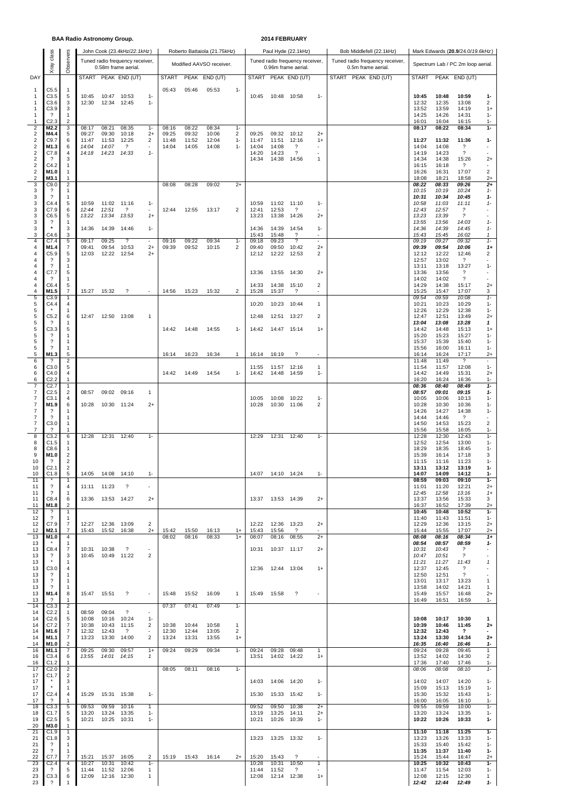#### **BAA Radio Astronomy Group. 2014 FEBRUARY**

|                                           | class                                        |                                  |                |                      | John Cook (23.4kHz/22.1kHz)                            |                                   |                |                | Roberto Battaiola (21.75kHz) |                                |                |                      | Paul Hyde (22.1kHz)                                    |                          | Bob Middlefell (22.1kHz)                              | Mark Edwards (20.9/24.0/19.6kHz) |                |                                                      |                                          |  |  |  |  |
|-------------------------------------------|----------------------------------------------|----------------------------------|----------------|----------------------|--------------------------------------------------------|-----------------------------------|----------------|----------------|------------------------------|--------------------------------|----------------|----------------------|--------------------------------------------------------|--------------------------|-------------------------------------------------------|----------------------------------|----------------|------------------------------------------------------|------------------------------------------|--|--|--|--|
|                                           | Xray                                         | Observers                        |                |                      | Tuned radio frequency receiver,<br>0.58m frame aerial. |                                   |                |                | Modified AAVSO receiver.     |                                |                |                      | Tuned radio frequency receiver,<br>0.96m frame aerial. |                          | Tuned radio frequency receiver,<br>0.5m frame aerial. |                                  |                | Spectrum Lab / PC 2m loop aerial.                    |                                          |  |  |  |  |
| DAY                                       |                                              |                                  |                |                      | START PEAK END (UT)                                    |                                   | <b>START</b>   |                | PEAK END (UT)                |                                |                |                      | START PEAK END (UT)                                    |                          | START PEAK END (UT)                                   | <b>START</b>                     |                | PEAK END (UT)                                        |                                          |  |  |  |  |
| $\mathbf{1}$                              | C5.5                                         | $\mathbf{1}$                     |                |                      |                                                        |                                   | 05:43          | 05:46          | 05:53                        | $1 -$                          |                |                      |                                                        |                          |                                                       |                                  |                |                                                      |                                          |  |  |  |  |
| -1<br>-1                                  | C3.5<br>C3.6                                 | 5<br>3                           | 10:45<br>12:30 | 10:47<br>12:34       | 10:53<br>12:45                                         | $1 -$<br>$1 -$                    |                |                |                              |                                | 10:45          | 10:48 10:58          |                                                        | $1 -$                    |                                                       | 10:45<br>12:32                   | 10:48<br>12:35 | 10:59<br>13:08                                       | $1-$<br>$\overline{2}$                   |  |  |  |  |
| 1                                         | C3.9                                         | 3                                |                |                      |                                                        |                                   |                |                |                              |                                |                |                      |                                                        |                          |                                                       | 13:52                            | 13:59          | 14:19                                                | $1+$                                     |  |  |  |  |
| $\mathbf{1}$<br>1                         | $\overline{\mathcal{L}}$<br>C <sub>2.3</sub> | -1<br>$\overline{2}$             |                |                      |                                                        |                                   |                |                |                              |                                |                |                      |                                                        |                          |                                                       | 14:25<br>16:01                   | 14:26<br>16:04 | 14:31<br>16:15                                       | $1 -$<br>$1 -$                           |  |  |  |  |
| $\sqrt{2}$<br>$\overline{2}$              | M2.2<br>M4.4                                 | 3<br>5                           | 08:17<br>09:27 | 08:21<br>09:30       | 08:35<br>10:18                                         | $1 -$<br>$2+$                     | 08:16<br>09:25 | 08:22<br>09:32 | 08:34<br>10:06               | $1 -$<br>2                     | 09:25          | 09:32                | 10:12                                                  | $2+$                     |                                                       | 08:17                            | 08:22          | 08:34                                                | $1-$                                     |  |  |  |  |
| $\sqrt{2}$<br>$\overline{\mathbf{c}}$     | C9.7<br>M1.3                                 | 6<br>6                           | 11:47<br>14:04 | 11:53<br>14:07       | 12:25<br>$\overline{\phantom{a}}$                      | 2<br>٠                            | 11:48<br>14:04 | 11:52<br>14:05 | 12:04<br>14:08               | $1 -$<br>$1 -$                 | 11:47<br>14:04 | 11:51<br>14:08       | 12:16<br>?                                             | $1+$<br>٠                |                                                       | 11:27<br>14:04                   | 11:32<br>14:08 | 11:36<br>?                                           | $1-$                                     |  |  |  |  |
| $\overline{2}$                            | C7.8                                         | 4                                | 14:18          | 14:23 14:33          |                                                        | $1 -$                             |                |                |                              |                                | 14:20          | 14:23                | $\overline{\mathcal{L}}$                               | ٠                        |                                                       | 14:19                            | 14:23          | $\overline{\mathcal{E}}$                             |                                          |  |  |  |  |
| $\overline{\mathbf{c}}$<br>$\overline{2}$ | $\overline{\mathcal{E}}$<br>C4.2             | 3<br>$\mathbf{1}$                |                |                      |                                                        |                                   |                |                |                              |                                | 14:34          | 14:38                | 14:56                                                  | $\mathbf{1}$             |                                                       | 14:34<br>16:15                   | 14:38<br>16:18 | 15:26<br>$\overline{\phantom{a}}$                    | $2+$<br>$\sim$                           |  |  |  |  |
| $\boldsymbol{2}$<br>$\sqrt{2}$            | M1.0<br>M3.1                                 | $\mathbf{1}$<br>$\mathbf{1}$     |                |                      |                                                        |                                   |                |                |                              |                                |                |                      |                                                        |                          |                                                       | 16:26<br>18:08                   | 16:31<br>18:21 | 17:07<br>18:58                                       | $\overline{2}$<br>$2+$                   |  |  |  |  |
| 3<br>3                                    | C9.0<br>$\overline{\mathcal{E}}$             | $\overline{2}$<br>-1             |                |                      |                                                        |                                   | 08:08          | 08:28          | 09:02                        | $2+$                           |                |                      |                                                        |                          |                                                       | 08:22<br>10:15                   | 08:33<br>10:19 | 09:26<br>10:24                                       | $2+$<br>$1 -$                            |  |  |  |  |
| 3                                         | $\overline{\mathcal{L}}$                     | $\mathbf{1}$                     |                |                      |                                                        |                                   |                |                |                              |                                |                |                      |                                                        |                          |                                                       | 10:31                            | 10:34          | 10:45                                                | $1-$                                     |  |  |  |  |
| 3<br>3                                    | C4.4<br>C7.9                                 | 5<br>6                           | 10:59<br>12:44 | 11:02<br>12:51       | 11:16<br>$\overline{\phantom{a}}$                      | $1 -$<br>$\sim$                   | 12:44          | 12:55          | 13:17                        | $\overline{2}$                 | 10:59<br>12:41 | 11:02<br>12:53       | 11:10<br>?                                             | $1-$                     |                                                       | 10:58<br>12:43                   | 11:03<br>12:57 | 11:11<br>$\overline{\phantom{a}}$                    | $1 -$<br>$\overline{\phantom{a}}$        |  |  |  |  |
| 3<br>3                                    | C6.5<br>$\overline{\cdot}$                   | 5<br>$\mathbf{1}$                | 13:22          | 13:34                | 13:53                                                  | $1+$                              |                |                |                              |                                | 13:23          | 13:38                | 14:26                                                  | $^{2+}$                  |                                                       | 13:23<br>13:55                   | 13:39<br>13:56 | $\tilde{z}$<br>14:03                                 | ×,<br>$1 -$                              |  |  |  |  |
| 3<br>3                                    | C4.6                                         | 3<br>3                           | 14:36          | 14:39                | 14:46                                                  | $1 -$                             |                |                |                              |                                | 14:36<br>15:43 | 14:39<br>15:48       | 14:54<br>$\gamma$                                      | $1 -$<br>ä,              |                                                       | 14:36<br>15:43                   | 14:39<br>15:45 | 14:45<br>16:02                                       | $1 -$<br>1                               |  |  |  |  |
| $\overline{4}$                            | C7.4                                         | 5                                | 09:17          | 09:25                | $\overline{\phantom{a}}$                               | $\sim$                            | 09:16          | 09:22          | 09:34                        | $1 -$                          | 09:18          | 09:23                | $\overline{\mathcal{L}}$                               | ÷                        |                                                       | 09:19                            | 09:27          | 09:32                                                | $1 -$                                    |  |  |  |  |
| 4<br>$\overline{4}$                       | M1.4<br>C5.9                                 | 7<br>5                           | 09:41<br>12:03 | 09:54<br>12:22       | 10:53<br>12:54                                         | $2+$<br>$2+$                      | 09:39          | 09:52          | 10:15                        | 2                              | 09:40<br>12:12 | 09:50<br>12:22       | 10:42<br>12:53                                         | $^{2+}$<br>2             |                                                       | 09:39<br>12:12                   | 09:54<br>12:22 | 10:06<br>12:46                                       | 1+<br>2                                  |  |  |  |  |
| 4<br>4                                    | ?<br>$\overline{\mathcal{L}}$                | 3<br>$\mathbf{1}$                |                |                      |                                                        |                                   |                |                |                              |                                |                |                      |                                                        |                          |                                                       | 12:57<br>13:11                   | 13:02<br>13:18 | ?<br>13:27                                           | ٠<br>$1 -$                               |  |  |  |  |
| 4<br>4                                    | C7.7<br>?                                    | 5<br>$\mathbf{1}$                |                |                      |                                                        |                                   |                |                |                              |                                | 13:36          | 13:55                | 14:30                                                  | $^{2+}$                  |                                                       | 13:36<br>14:02                   | 13:56<br>14:02 | $\overline{\mathcal{E}}$<br>$\overline{\mathcal{E}}$ | $\sim$                                   |  |  |  |  |
| $\overline{4}$                            | C6.4                                         | 5                                |                |                      |                                                        |                                   |                |                |                              |                                | 14:33          | 14:38                | 15:10                                                  | 2                        |                                                       | 14:29                            | 14:38          | 15:17                                                | $2+$                                     |  |  |  |  |
| $\overline{4}$<br>5                       | M1.5<br>C3.9                                 | 7<br>$\mathbf{1}$                | 15:27          | 15:32                | $\overline{\mathcal{L}}$                               | $\overline{\phantom{a}}$          | 14:56          | 15:23          | 15:32                        | $\overline{2}$                 | 15:28          | 15:37                | $\gamma$                                               | $\sim$                   |                                                       | 15:25<br>09:54                   | 15:47<br>09:59 | 17:07<br>10:08                                       | 3<br>$1 -$                               |  |  |  |  |
| 5<br>5                                    | C4.4                                         | 4<br>-1                          |                |                      |                                                        |                                   |                |                |                              |                                | 10:20          | 10:23                | 10:44                                                  | $\mathbf{1}$             |                                                       | 10:21<br>12:26                   | 10:23<br>12:29 | 10:29<br>12:38                                       | $1 -$<br>$1 -$                           |  |  |  |  |
| 5<br>5                                    | C <sub>5.2</sub><br>-2                       | 6<br>-1                          | 12:47          | 12:50                | 13:08                                                  | $\mathbf{1}$                      |                |                |                              |                                | 12:48          | 12:51                | 13:27                                                  | 2                        |                                                       | 12:47<br>13:04                   | 12:51<br>13:08 | 13:49<br>13:28                                       | $2+$<br>1                                |  |  |  |  |
| 5                                         | C3.3                                         | 5                                |                |                      |                                                        |                                   | 14:42          | 14:48          | 14:55                        | $1 -$                          | 14:42          | 14:47                | 15:14                                                  | $1+$                     |                                                       | 14:42                            | 14:48          | 15:13                                                | $1+$                                     |  |  |  |  |
| 5<br>5                                    | ?<br>$\overline{\mathcal{E}}$                | -1<br>$\mathbf{1}$               |                |                      |                                                        |                                   |                |                |                              |                                |                |                      |                                                        |                          |                                                       | 15:20<br>15:37                   | 15:23<br>15:39 | 15:27<br>15:40                                       | $1 -$<br>$1 -$                           |  |  |  |  |
| 5<br>5                                    | 2<br>M1.3                                    | $\mathbf{1}$<br>5                |                |                      |                                                        |                                   | 16:14          | 16:23          | 16:34                        | $\mathbf{1}$                   | 16:14          | 16:19                | $\overline{\mathcal{L}}$                               | $\sim$                   |                                                       | 15:56<br>16:14                   | 16:00<br>16:24 | 16:11<br>17:17                                       | $1 -$<br>$2+$                            |  |  |  |  |
| 6                                         | ?                                            | $\overline{2}$                   |                |                      |                                                        |                                   |                |                |                              |                                |                |                      |                                                        |                          |                                                       | 11:48                            | 11:49          | $\gamma$                                             | $1 -$                                    |  |  |  |  |
| 6<br>6                                    | C3.0<br>C4.0                                 | 5<br>4                           |                |                      |                                                        |                                   | 14:42          | 14:49          | 14:54                        | $1 -$                          | 11:55<br>14:42 | 11:57<br>14:48       | 12:16<br>14:59                                         | 1<br>$1 -$               |                                                       | 11:54<br>14:42                   | 11:57<br>14:49 | 12:08<br>15:31                                       | $2+$                                     |  |  |  |  |
| 6<br>7                                    | C <sub>2.2</sub><br>C <sub>2.7</sub>         | $\mathbf{1}$<br>$\mathbf{1}$     |                |                      |                                                        |                                   |                |                |                              |                                |                |                      |                                                        |                          |                                                       | 16:20<br>08:36                   | 16:24<br>08:40 | 16:36<br>08:49                                       | $1 -$<br>$1-$                            |  |  |  |  |
| $\overline{7}$<br>$\overline{7}$          | C <sub>2.5</sub><br>C3.1                     | $\overline{c}$<br>4              | 08:57          | 09:02                | 09:16                                                  | $\mathbf{1}$                      |                |                |                              |                                | 10:05          | 10:08                | 10:22                                                  | $1-$                     |                                                       | 08:57<br>10:05                   | 09:01<br>10:06 | 09:15<br>10:13                                       | $1-$<br>$1 -$                            |  |  |  |  |
| $\overline{7}$<br>7                       | M1.9<br>?                                    | 6<br>-1                          | 10:28          | 10:30 11:24          |                                                        | $2+$                              |                |                |                              |                                | 10:28          | 10:30                | 11:06                                                  | 2                        |                                                       | 10:28<br>14:26                   | 10:30<br>14:27 | 10:36<br>14:38                                       | $1 -$<br>$1 -$                           |  |  |  |  |
| 7                                         | $\cdot$                                      | $\mathbf{1}$                     |                |                      |                                                        |                                   |                |                |                              |                                |                |                      |                                                        |                          |                                                       | 14:44                            | 14:46          | $\gamma$                                             | ×                                        |  |  |  |  |
| $\overline{7}$<br>$\overline{7}$          | C3.0<br>$\mathcal{P}$                        | $\mathbf{1}$<br>$\mathbf{1}$     |                |                      |                                                        |                                   |                |                |                              |                                |                |                      |                                                        |                          |                                                       | 14:50<br>15:56                   | 14:53<br>15:58 | 15:23<br>16:05                                       | $\overline{2}$<br>$1 -$                  |  |  |  |  |
| $\overline{8}$<br>8                       | C3.2<br>C1.5                                 | 6<br>-1                          | 12:28          | 12:31                | 12:40                                                  | $1 -$                             |                |                |                              |                                | 12:29          | 12:31                | 12:40                                                  | $1 -$                    |                                                       | 12:28<br>12:52                   | 12:30<br>12:54 | 12:43<br>13:00                                       | $1 -$<br>$1 -$                           |  |  |  |  |
| 8<br>9                                    | C8.6<br>M1.0                                 | -1<br>$\overline{2}$             |                |                      |                                                        |                                   |                |                |                              |                                |                |                      |                                                        |                          |                                                       | 18:29<br>15:39                   | 18:35<br>16:14 | 18:45<br>17:18                                       | $1 -$<br>3                               |  |  |  |  |
| 10                                        | $\overline{\cdot}$                           | $\overline{c}$                   |                |                      |                                                        |                                   |                |                |                              |                                |                |                      |                                                        |                          |                                                       | 11:15                            | 11:16          | 11:23                                                | $1 -$                                    |  |  |  |  |
| 10<br>10                                  | C2.1<br>C1.8                                 | $\overline{2}$<br>5              | 14:05          | 14:08                | 14:10                                                  | $1 -$                             |                |                |                              |                                | 14:07          | 14:10 14:24          |                                                        | $1-$                     |                                                       | 13:11<br>14:07                   | 13:12<br>14:09 | 13:19<br>14:12                                       | $1 -$<br>-1                              |  |  |  |  |
| 11<br>11                                  | $\overline{\phantom{a}}$                     | -1<br>4                          | 11:11          | 11:23                | ?                                                      | ×,                                |                |                |                              |                                |                |                      |                                                        |                          |                                                       | 08:59<br>11:01                   | 09:03<br>11:20 | 09:10<br>12:21                                       | $1-$<br>$2+$                             |  |  |  |  |
| 11<br>11                                  | -2<br>C8.4                                   | -1<br>6                          | 13:36          | 13:53 14:27          |                                                        | $2+$                              |                |                |                              |                                | 13:37          | 13:53 14:39          |                                                        | $2+$                     |                                                       | 12:45<br>13:37                   | 12:58<br>13:56 | 13:16<br>15:33                                       | $1+$<br>3                                |  |  |  |  |
| 11                                        | M1.8                                         | $\overline{2}$                   |                |                      |                                                        |                                   |                |                |                              |                                |                |                      |                                                        |                          |                                                       | 16:37                            | 16:52          | 17:39                                                | $2+$                                     |  |  |  |  |
| 12<br>12                                  | ?<br>$\overline{\mathcal{E}}$                | $\mathbf{1}$<br>$\mathbf{1}$     |                |                      |                                                        |                                   |                |                |                              |                                |                |                      |                                                        |                          |                                                       | 10:45<br>11:40                   | 10:48<br>11:43 | 10:52<br>11:51                                       | $1-$<br>$1 -$                            |  |  |  |  |
| 12<br>12                                  | C7.9<br>M2.1                                 | 7<br>7                           | 12:27<br>15:43 | 12:36<br>15:52       | 13:09<br>16:38                                         | 2<br>$2+$                         | 15:42          | 15:50          | 16:13                        | $1+$                           | 12:22<br>15:43 | 12:36<br>15:56       | 13:23<br>$\gamma$                                      | $2+$<br>$\sim$           |                                                       | 12:29<br>15:44                   | 12:36<br>15:55 | 13:15<br>17:07                                       | $2+$<br>$2+$                             |  |  |  |  |
| 13<br>13                                  | M1.0                                         | 4<br>-1                          |                |                      |                                                        |                                   | 08:02          | 08:16          | 08:33                        | $1+$                           | 08:07          | 08:16                | 08:55                                                  | $2+$                     |                                                       | 08:08<br>08:54                   | 08:16<br>08:57 | 08:34<br>08:59                                       | $1+$<br>1-                               |  |  |  |  |
| 13                                        | C8.4                                         | $\overline{7}$                   | 10:31          | 10:38                | ?                                                      | $\overline{\phantom{a}}$          |                |                |                              |                                | 10:31          | 10:37                | 11:17                                                  | $2+$                     |                                                       | 10:31                            | 10:43          | $\overline{\phantom{a}}$                             |                                          |  |  |  |  |
| 13<br>13                                  | $\gamma$                                     | 3<br>$\mathbf{1}$                | 10:45          | 10:49                | 11:22                                                  | $\overline{2}$                    |                |                |                              |                                |                |                      |                                                        |                          |                                                       | 10:47<br>11:21                   | 10:51<br>11:27 | $\overline{?}$<br>11:43                              | $\overline{\phantom{a}}$<br>$\mathbf{1}$ |  |  |  |  |
| 13<br>13                                  | C3.0<br>-?                                   | 4<br>$\mathbf{1}$                |                |                      |                                                        |                                   |                |                |                              |                                | 12:36          | 12:44 13:04          |                                                        | $1+$                     |                                                       | 12:37<br>12:50                   | 12:45<br>12:51 | $\gamma$<br>$\gamma$                                 | $\sim$                                   |  |  |  |  |
| 13<br>13                                  | ?<br>$\overline{\mathcal{E}}$                | $\mathbf{1}$<br>$\mathbf{1}$     |                |                      |                                                        |                                   |                |                |                              |                                |                |                      |                                                        |                          |                                                       | 13:01<br>13:58                   | 13:17<br>14:02 | 13:23<br>14:21                                       | $\mathbf{1}$<br>1                        |  |  |  |  |
| 13                                        | M1.4<br>$\overline{\mathcal{L}}$             | 8<br>$\mathbf{1}$                | 15:47          | 15:51                | ?                                                      | $\overline{\phantom{a}}$          | 15:48          | 15:52          | 16:09                        | $\mathbf{1}$                   | 15:49          | 15:58                | $\overline{\cdot}$                                     | $\overline{\phantom{a}}$ |                                                       | 15:49                            | 15:57          | 16:48                                                | $2+$                                     |  |  |  |  |
| 13<br>14                                  | C3.3                                         | $\overline{2}$                   |                |                      |                                                        |                                   | 07:37          | 07:41          | 07:49                        | $1 -$                          |                |                      |                                                        |                          |                                                       | 16:49                            | 16:51          | 16:59                                                | $1 -$                                    |  |  |  |  |
| 14<br>14                                  | C2.2<br>C <sub>2.6</sub>                     | -1<br>5                          | 08:59<br>10:08 | 09:04<br>10:16       | ?<br>10:24                                             | $\overline{\phantom{a}}$<br>$1 -$ |                |                |                              |                                |                |                      |                                                        |                          |                                                       | 10:08                            | 10:17          | 10:30                                                | 1                                        |  |  |  |  |
| 14<br>14                                  | C7.2<br>M1.6                                 | 7<br>7                           | 10:38<br>12:32 | 10:43<br>12:43       | 11:15<br>$\overline{\mathcal{L}}$                      | 2<br>٠                            | 10:38<br>12:30 | 10:44<br>12:44 | 10:58<br>13:05               | $\mathbf{1}$<br>$\overline{2}$ |                |                      |                                                        |                          |                                                       | 10:39<br>12:32                   | 10:46<br>12:43 | 11:45<br>?                                           | $^{2+}$<br>$\blacksquare$                |  |  |  |  |
| 14                                        | M1.1<br>M1.0                                 | 7<br>$\overline{2}$              | 13:23          | 13:30                | 14:00                                                  | 2                                 | 13:24          | 13:31          | 13:55                        | $1+$                           |                |                      |                                                        |                          |                                                       | 13:24<br>16:35                   | 13:30<br>16:40 | 14:34<br>16:46                                       | $^{2+}$<br>1-                            |  |  |  |  |
| 14<br>16                                  | M1.1                                         | 7                                | 09:25          | 09:30                | 09:57                                                  | $1+$                              | 09:24          | 09:29          | 09:34                        | $1 -$                          | 09:24          | 09:28                | 09:48                                                  | $\mathbf{1}$             |                                                       | 09:24                            | 09:28          | 09:45                                                | $\mathbf{1}$                             |  |  |  |  |
| 16<br>16                                  | C3.4<br>C1.2                                 | 6<br>-1                          | 13:55          | 14:01 14:15          |                                                        | 1                                 |                |                |                              |                                | 13:51          | 14:02 14:22          |                                                        | $1+$                     |                                                       | 13:52<br>17:36                   | 14:02<br>17:40 | 14:30<br>17:46                                       | 2<br>$1 -$                               |  |  |  |  |
| 17<br>17                                  | C <sub>2.0</sub><br>C1.7                     | $\overline{2}$<br>$\overline{2}$ |                |                      |                                                        |                                   | 08:05          | 08:11          | 08:16                        | $1 -$                          |                |                      |                                                        |                          |                                                       | 08:06                            | 08:08          | 08:10                                                | $1 -$                                    |  |  |  |  |
| 17<br>17                                  |                                              | 3<br>$\mathbf{1}$                |                |                      |                                                        |                                   |                |                |                              |                                | 14:03          | 14:06 14:20          |                                                        | $1 -$                    |                                                       | 14:02<br>15:09                   | 14:07<br>15:13 | 14:20<br>15:19                                       | $1 -$<br>$1 -$                           |  |  |  |  |
| 17                                        | C <sub>2.4</sub>                             | $\overline{4}$                   | 15:29          | 15:31 15:38          |                                                        | $1 -$                             |                |                |                              |                                | 15:30          | 15:33 15:42          |                                                        | $1 -$                    |                                                       | 15:30                            | 15:32          | 15:43                                                | $1 -$                                    |  |  |  |  |
| 17<br>18                                  | - ?<br>C3.3                                  | $\overline{1}$<br>5              | 09:53          | 09:59                | 10:16                                                  | 1                                 |                |                |                              |                                | 09:52          | 09:50                | 10:38                                                  | $2+$                     |                                                       | 16:00<br>09:55                   | 16:05<br>09:59 | 16:10<br>10:00                                       | $1 -$<br>$1 -$                           |  |  |  |  |
| 18<br>19                                  | C <sub>1.7</sub><br>C <sub>2.5</sub>         | 5<br>5                           | 13:20<br>10:21 | 13:24<br>10:25 10:31 | 13:35                                                  | $1 -$<br>$1 -$                    |                |                |                              |                                | 13:19<br>10:21 | 13:25<br>10:26       | 14:11<br>10:39                                         | $^{2+}$<br>$1 -$         |                                                       | 13:20<br>10:22                   | 13:24<br>10:26 | 13:35<br>10:33                                       | $1 -$<br>$1-$                            |  |  |  |  |
| 20<br>21                                  | M3.0<br>C1.9                                 | -1<br>$\mathbf{1}$               |                |                      |                                                        |                                   |                |                |                              |                                |                |                      |                                                        |                          |                                                       | 11:10                            | 11:18          | 11:25                                                | $1 -$                                    |  |  |  |  |
| 21                                        | C1.8                                         | 3                                |                |                      |                                                        |                                   |                |                |                              |                                | 13:23          | 13:25                | 13:32                                                  | $1 -$                    |                                                       | 13:23                            | 13:26          | 13:33                                                | $1 -$                                    |  |  |  |  |
| 21<br>22                                  | $\gamma$<br>$\overline{\mathcal{L}}$         | 1<br>$\mathbf{1}$                |                |                      |                                                        |                                   |                |                |                              |                                |                |                      |                                                        |                          |                                                       | 15:33<br>11:35                   | 15:40<br>11:37 | 15:42<br>11:40                                       | $1 -$<br>$1-$                            |  |  |  |  |
| 22<br>23                                  | C7.7<br>C <sub>2.4</sub>                     | $\overline{7}$<br>4              | 15:21<br>10:27 | 15:37<br>10:31       | 16:05<br>10:42                                         | $\overline{2}$<br>$1 -$           | 15:19          | 15:43          | 16:14                        | $2+$                           | 15:20<br>10:28 | 15:43<br>10:31       | $\overline{\cdot}$<br>10:50                            | $\mathbf{1}$             |                                                       | 15:24<br>10:25                   | 15:44<br>10:32 | 16:47<br>10:43                                       | $2+$<br>$1 -$                            |  |  |  |  |
| 23<br>23                                  | ?<br>C3.3                                    | 5<br>6                           | 11:44<br>12:09 | 11:52<br>12:16 12:30 | 12:06                                                  | 1<br>1                            |                |                |                              |                                | 11:44<br>12:08 | 11:52<br>12:14 12:38 | $\overline{\mathcal{L}}$                               | $1+$                     |                                                       | 11:47<br>12:08                   | 11:54<br>12:15 | 12:03<br>12:30                                       | $1 -$<br>$\mathbf{1}$                    |  |  |  |  |
| 23                                        | $\overline{\mathcal{E}}$                     |                                  |                |                      |                                                        |                                   |                |                |                              |                                |                |                      |                                                        |                          |                                                       | 12:42                            | 12:44          | 12:49                                                | $1 -$                                    |  |  |  |  |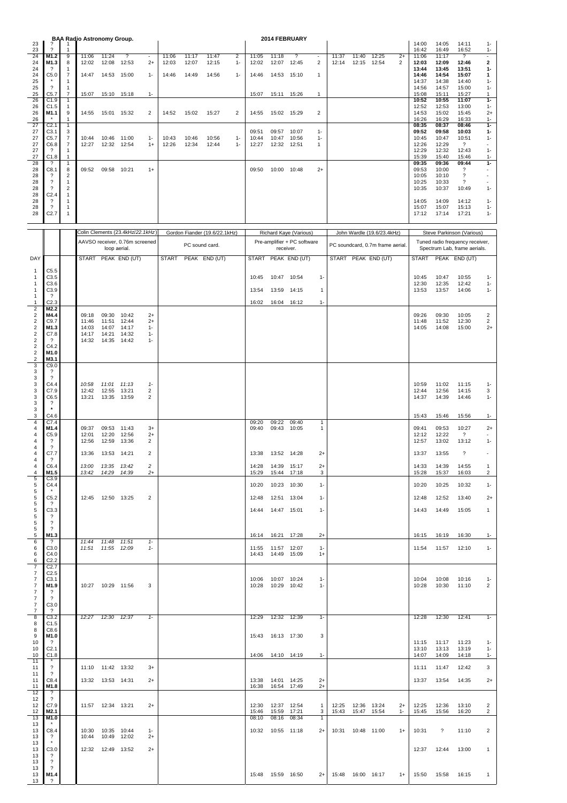| 23                                        |                                                      |                                | BAA Radio Astronomy Group. |                      |                                  |                          |       |                |                               |                |                |                                            | 2014 FEBRUARY               |                   |       |                     |                                  |       | 14:00          | 14:05          | 14:11                                               | $1 -$                             |
|-------------------------------------------|------------------------------------------------------|--------------------------------|----------------------------|----------------------|----------------------------------|--------------------------|-------|----------------|-------------------------------|----------------|----------------|--------------------------------------------|-----------------------------|-------------------|-------|---------------------|----------------------------------|-------|----------------|----------------|-----------------------------------------------------|-----------------------------------|
| 23<br>24                                  | ?<br>M1.2                                            | -1<br>9                        | 11:06                      | 11:24                | ?                                | $\overline{\phantom{a}}$ | 11:06 | 11:17          | 11:47                         | $\overline{c}$ | 11:05          | 11:18                                      | ?                           | ٠                 | 11:37 | 11:40               | 12:25                            | $2+$  | 16:42<br>11:06 | 16:49<br>11:17 | 16:52<br>?                                          | $1 -$<br>$\overline{\phantom{a}}$ |
| 24<br>24                                  | M1.3<br>?                                            | 8<br>-1                        | 12:02                      | 12:08                | 12:53                            | $2+$                     | 12:03 | 12:07          | 12:15                         | $1 -$          | 12:02          | 12:07                                      | 12:45                       | $\overline{2}$    | 12:14 | 12:15               | 12:54                            | 2     | 12:03<br>13:44 | 12:09<br>13:45 | 12:46<br>13:51                                      | 2<br>$1-$                         |
| 24<br>25                                  | C5.0                                                 | $\overline{7}$<br>$\mathbf{1}$ | 14:47                      | 14:53                | 15:00                            | $1 -$                    | 14:46 | 14:49          | 14:56                         | $1 -$          | 14:46          | 14:53                                      | 15:10                       | $\mathbf{1}$      |       |                     |                                  |       | 14:46<br>14:37 | 14:54<br>14:38 | 15:07<br>14:40                                      | 1<br>1-                           |
| 25<br>25                                  | $\overline{\phantom{0}}$                             | -1<br>7                        |                            |                      |                                  | $1 -$                    |       |                |                               |                |                |                                            |                             |                   |       |                     |                                  |       | 14:56          | 14:57          | 15:00                                               | $1 -$<br>1                        |
| 26                                        | C5.7<br>C1.9                                         | $\mathbf{1}$                   | 15:07                      | 15:10                | 15:18                            |                          |       |                |                               |                | 15:07          | 15:11                                      | 15:26                       | $\mathbf{1}$      |       |                     |                                  |       | 15:08<br>10:52 | 15:11<br>10:55 | 15:27<br>11:07                                      | $1 -$                             |
| 26<br>26                                  | C1.5<br>M1.1                                         | $\mathbf{1}$<br>9              | 14:55                      | 15:01 15:32          |                                  | 2                        | 14:52 | 15:02          | 15:27                         | $\overline{2}$ | 14:55          | 15:02 15:29                                |                             | $\overline{2}$    |       |                     |                                  |       | 12:52<br>14:53 | 12:53<br>15:02 | 13:00<br>15:45                                      | $1 -$<br>$2+$                     |
| 26<br>27                                  | C <sub>2.1</sub>                                     | -1<br>$\mathbf{1}$             |                            |                      |                                  |                          |       |                |                               |                |                |                                            |                             |                   |       |                     |                                  |       | 16:26<br>08:35 | 16:29<br>08:37 | 16:33<br>08:46                                      | $1 -$<br>$1 -$                    |
| 27<br>27                                  | C3.1<br>C5.7                                         | 3<br>7                         | 10:44                      | 10:46                | 11:00                            | $1 -$                    | 10:43 | 10:46          | 10:56                         | $1 -$          | 09:51<br>10:44 | 09:57<br>10:47                             | 10:07<br>10:56              | $1 -$<br>$1 -$    |       |                     |                                  |       | 09:52<br>10:45 | 09:58<br>10:47 | 10:03<br>10:51                                      | $1 -$<br>$1 -$                    |
| 27<br>27                                  | C6.8<br>?                                            | $\overline{7}$<br>-1           | 12:27                      | 12:32                | 12:54                            | $1+$                     | 12:26 | 12:34          | 12:44                         | $1 -$          | 12:27          | 12:32                                      | 12:51                       | $\mathbf{1}$      |       |                     |                                  |       | 12:26<br>12:29 | 12:29<br>12:32 | $\overline{\mathcal{L}}$<br>12:43                   | $\overline{\phantom{a}}$<br>$1 -$ |
| 27<br>28                                  | C1.8<br>?                                            | $\mathbf{1}$<br>$\mathbf{1}$   |                            |                      |                                  |                          |       |                |                               |                |                |                                            |                             |                   |       |                     |                                  |       | 15:39<br>09:35 | 15:40<br>09:36 | 15:46<br>09:44                                      | $1 -$<br>$1-$                     |
| 28<br>28                                  | C8.1<br>?                                            | 8<br>$\overline{2}$            | 09:52                      | 09:58 10:21          |                                  | $1+$                     |       |                |                               |                | 09:50          | 10:00 10:48                                |                             | $2+$              |       |                     |                                  |       | 09:53<br>10:05 | 10:00<br>10:10 | ?<br>?                                              | ٠<br>٠                            |
| 28                                        | $\overline{\mathcal{E}}$<br>$\overline{\phantom{0}}$ | $\mathbf{1}$                   |                            |                      |                                  |                          |       |                |                               |                |                |                                            |                             |                   |       |                     |                                  |       | 10:25          | 10:33          | $\overline{\mathcal{L}}$                            | ٠                                 |
| 28<br>28                                  | C <sub>2.4</sub>                                     | $\overline{2}$<br>$\mathbf{1}$ |                            |                      |                                  |                          |       |                |                               |                |                |                                            |                             |                   |       |                     |                                  |       | 10:35          | 10:37          | 10:49                                               | $1 -$                             |
| 28<br>28                                  | ?<br>?                                               | $\mathbf{1}$<br>$\mathbf{1}$   |                            |                      |                                  |                          |       |                |                               |                |                |                                            |                             |                   |       |                     |                                  |       | 14:05<br>15:07 | 14:09<br>15:07 | 14:12<br>15:13                                      | $1 -$<br>$1 -$                    |
| 28                                        | C <sub>2.7</sub>                                     | $\mathbf{1}$                   |                            |                      |                                  |                          |       |                |                               |                |                |                                            |                             |                   |       |                     |                                  |       | 17:12          | 17:14          | 17:21                                               | $1 -$                             |
|                                           |                                                      |                                |                            |                      | Colin Clements (23.4kHz/22.1kHz) |                          |       |                | Gordon Fiander (19.6/22.1kHz) |                |                |                                            | Richard Kaye (Various)      |                   |       |                     | John Wardle (19.6/23.4kHz)       |       |                |                | Steve Parkinson (Various)                           |                                   |
|                                           |                                                      |                                |                            |                      | AAVSO receiver, 0.76m screened   |                          |       | PC sound card. |                               |                |                |                                            | Pre-amplifier + PC software |                   |       |                     | PC soundcard, 0.7m frame aerial. |       |                |                | Tuned radio frequency receiver,                     |                                   |
| DAY                                       |                                                      |                                |                            | loop aerial.         | START PEAK END (UT)              |                          | START |                | PEAK END (UT)                 |                |                | receiver.                                  | START PEAK END (UT)         |                   |       |                     | START PEAK END (UT)              |       |                |                | Spectrum Lab, frame aerials.<br>START PEAK END (UT) |                                   |
| $\mathbf{1}$                              | C5.5                                                 |                                |                            |                      |                                  |                          |       |                |                               |                |                |                                            |                             |                   |       |                     |                                  |       |                |                |                                                     |                                   |
| $\mathbf{1}$                              | C3.5                                                 |                                |                            |                      |                                  |                          |       |                |                               |                | 10:45          | 10:47                                      | 10:54                       | $1 -$             |       |                     |                                  |       | 10:45          | 10:47          | 10:55                                               | 1-                                |
| $\mathbf{1}$<br>$\mathbf{1}$              | C3.6<br>C <sub>3.9</sub>                             |                                |                            |                      |                                  |                          |       |                |                               |                | 13:54          | 13:59                                      | 14:15                       | 1                 |       |                     |                                  |       | 12:30<br>13:53 | 12:35<br>13:57 | 12:42<br>14:06                                      | $1 -$<br>$1 -$                    |
| $\mathbf{1}$<br>$\mathbf{1}$              | $\overline{\mathcal{L}}$<br>C2.3                     |                                |                            |                      |                                  |                          |       |                |                               |                | 16:02          | 16:04                                      | 16:12                       | $1-$              |       |                     |                                  |       |                |                |                                                     |                                   |
| 2<br>$\sqrt{2}$                           | M2.2<br>M4.4                                         |                                | 09:18                      | 09:30                | 10:42                            | $2+$                     |       |                |                               |                |                |                                            |                             |                   |       |                     |                                  |       | 09:26          | 09:30          | 10:05                                               | 2                                 |
| $\overline{2}$<br>$\sqrt{2}$              | C9.7<br>M1.3                                         |                                | 11:46<br>14:03             | 11:51<br>14:07       | 12:44<br>14:17                   | $2+$<br>$1 -$            |       |                |                               |                |                |                                            |                             |                   |       |                     |                                  |       | 11:48<br>14:05 | 11:52<br>14:08 | 12:30<br>15:00                                      | 2<br>$2+$                         |
| $\overline{\mathbf{c}}$<br>$\overline{c}$ | C7.8<br>$\overline{\mathcal{E}}$                     |                                | 14:17<br>14:32             | 14:21<br>14:35 14:42 | 14:32                            | $1 -$<br>$1 -$           |       |                |                               |                |                |                                            |                             |                   |       |                     |                                  |       |                |                |                                                     |                                   |
| $\boldsymbol{2}$<br>$\boldsymbol{2}$      | C4.2<br>M1.0                                         |                                |                            |                      |                                  |                          |       |                |                               |                |                |                                            |                             |                   |       |                     |                                  |       |                |                |                                                     |                                   |
| $\overline{2}$<br>3                       | M3.1<br>C9.0                                         |                                |                            |                      |                                  |                          |       |                |                               |                |                |                                            |                             |                   |       |                     |                                  |       |                |                |                                                     |                                   |
| 3                                         | ?<br>$\overline{\mathcal{L}}$                        |                                |                            |                      |                                  |                          |       |                |                               |                |                |                                            |                             |                   |       |                     |                                  |       |                |                |                                                     |                                   |
| 3<br>3                                    | C4.4                                                 |                                | 10:58                      | 11:01                | 11:13                            | $1 -$                    |       |                |                               |                |                |                                            |                             |                   |       |                     |                                  |       | 10:59          | 11:02          | 11:15                                               | $1 -$                             |
| 3<br>3                                    | C7.9<br>C6.5                                         |                                | 12:42<br>13:21             | 12:55<br>13:35       | 13:21<br>13:59                   | 2<br>2                   |       |                |                               |                |                |                                            |                             |                   |       |                     |                                  |       | 12:44<br>14:37 | 12:56<br>14:39 | 14:15<br>14:46                                      | 3<br>$1 -$                        |
| 3<br>3                                    | ?                                                    |                                |                            |                      |                                  |                          |       |                |                               |                |                |                                            |                             |                   |       |                     |                                  |       |                |                |                                                     |                                   |
| 3<br>4                                    | C4.6<br>C7.4                                         |                                |                            |                      |                                  |                          |       |                |                               |                | 09:20          | 09:22                                      | 09:40                       | $\mathbf{1}$      |       |                     |                                  |       | 15:43          | 15:46          | 15:56                                               | $1 -$                             |
| 4<br>4                                    | M1.4<br>C5.9                                         |                                | 09:37<br>12:01             | 09:53<br>12:20       | 11:43<br>12:56                   | $3+$<br>$2+$             |       |                |                               |                | 09:40          | 09:43                                      | 10:05                       | 1                 |       |                     |                                  |       | 09:41<br>12:12 | 09:53<br>12:22 | 10:27<br>$\gamma$                                   | $2+$                              |
| 4<br>4                                    | $\overline{\cdot}$<br>$\overline{\cdot}$             |                                | 12:56                      | 12:59                | 13:36                            | 2                        |       |                |                               |                |                |                                            |                             |                   |       |                     |                                  |       | 12:57          | 13:02          | 13:12                                               | $1 -$                             |
| 4<br>4                                    | C7.7<br>?                                            |                                | 13:36                      | 13:53 14:21          |                                  | 2                        |       |                |                               |                | 13:38          | 13:52 14:28                                |                             | $2+$              |       |                     |                                  |       | 13:37          | 13:55          | ?                                                   | ٠                                 |
| 4<br>4                                    | C6.4<br>M1.5                                         |                                | 13:42                      | 13:00  13:35  13:42  |                                  | 2                        |       |                |                               |                | 14:28<br>15:29 | 14:39 15:17<br>15:44 17:18                 |                             | $2+$<br>3         |       |                     |                                  |       | 14:33          | 14:39          | 14:55                                               | $\mathbf{1}$                      |
| 5                                         | C3.9                                                 |                                |                            | 14:29  14:39         |                                  | $^{2+}$                  |       |                |                               |                |                |                                            |                             |                   |       |                     |                                  |       | 15:28          | 15:37          | 16:03                                               | $\overline{c}$                    |
| 5<br>5                                    | C4.4<br>$^\star$                                     |                                |                            |                      |                                  |                          |       |                |                               |                | 10:20          | 10:23 10:30                                |                             | $1 -$             |       |                     |                                  |       | 10:20          | 10:25          | 10:32                                               | $1 -$                             |
| 5<br>5                                    | C5.2<br>$\gamma$                                     |                                |                            | 12:45  12:50  13:25  |                                  | 2                        |       |                |                               |                | 12:48          | 12:51 13:04                                |                             | $1 -$             |       |                     |                                  |       | 12:48          | 12:52          | 13:40                                               | $2+$                              |
| 5<br>5                                    | C3.3<br>?                                            |                                |                            |                      |                                  |                          |       |                |                               |                | 14:44          | 14:47 15:01                                |                             | $1-$              |       |                     |                                  |       | 14:43          | 14:49          | 15:05                                               | 1                                 |
| 5<br>$\mathbf 5$                          | $\overline{\mathcal{L}}$<br>$\overline{\mathcal{L}}$ |                                |                            |                      |                                  |                          |       |                |                               |                |                |                                            |                             |                   |       |                     |                                  |       |                |                |                                                     |                                   |
| 5<br>6                                    | M1.3<br>?                                            |                                |                            | 11:44 11:48 11:51    |                                  | $1 -$                    |       |                |                               |                | 16:14          | 16:21 17:28                                |                             | $2+$              |       |                     |                                  |       | 16:15          | 16:19          | 16:30                                               | $1 -$                             |
| 6<br>6                                    | C3.0<br>C4.0                                         |                                | 11:51                      | 11:55 12:09          |                                  | $1 -$                    |       |                |                               |                |                | 11:55  11:57  12:07<br>14:43  14:49  15:09 |                             | $1 -$<br>$1+$     |       |                     |                                  |       | 11:54          | 11:57          | 12:10                                               | $1 -$                             |
| 6<br>7                                    | C <sub>2.2</sub><br>C2.7                             |                                |                            |                      |                                  |                          |       |                |                               |                |                |                                            |                             |                   |       |                     |                                  |       |                |                |                                                     |                                   |
| $\overline{7}$<br>$\overline{7}$          | C <sub>2.5</sub><br>C3.1                             |                                |                            |                      |                                  |                          |       |                |                               |                |                | 10:06  10:07  10:24                        |                             | $1 -$             |       |                     |                                  |       | 10:04          | 10:08          | 10:16                                               | $1 -$                             |
| $\overline{7}$<br>$\overline{7}$          | M1.9<br>?                                            |                                |                            | 10:27  10:29  11:56  |                                  | 3                        |       |                |                               |                |                | 10:28  10:29  10:42                        |                             | $1 -$             |       |                     |                                  |       | 10:28          | 10:30          | 11:10                                               | 2                                 |
| $\overline{7}$                            | $\overline{\mathcal{E}}$                             |                                |                            |                      |                                  |                          |       |                |                               |                |                |                                            |                             |                   |       |                     |                                  |       |                |                |                                                     |                                   |
| $\overline{7}$<br>7                       | C3.0<br>$\overline{\mathcal{E}}$                     |                                |                            |                      |                                  |                          |       |                |                               |                |                |                                            |                             |                   |       |                     |                                  |       |                |                |                                                     |                                   |
| 8<br>8                                    | C3.2<br>C <sub>1.5</sub>                             |                                | 12:27                      | 12:30 12:37          |                                  | $1 -$                    |       |                |                               |                | 12:29          | 12:32 12:39                                |                             | $1 -$             |       |                     |                                  |       | 12:28          | 12:30          | 12:41                                               | $1 -$                             |
| 8<br>9                                    | C8.6<br>M1.0                                         |                                |                            |                      |                                  |                          |       |                |                               |                | 15:43          | 16:13 17:30                                |                             | 3                 |       |                     |                                  |       |                |                |                                                     |                                   |
| 10<br>10                                  | $\gamma$<br>C <sub>2.1</sub>                         |                                |                            |                      |                                  |                          |       |                |                               |                |                |                                            |                             |                   |       |                     |                                  |       | 11:15<br>13:10 | 11:17<br>13:13 | 11:23<br>13:19                                      | $1 -$<br>$1 -$                    |
| 10<br>11                                  | C1.8                                                 |                                |                            |                      |                                  |                          |       |                |                               |                | 14:06          | 14:10 14:19                                |                             | $1 -$             |       |                     |                                  |       | 14:07          | 14:09          | 14:18                                               | $1 -$                             |
| 11<br>11                                  | $\overline{\mathcal{E}}$<br>$\overline{\mathcal{L}}$ |                                |                            | 11:10 11:42 13:32    |                                  | $3+$                     |       |                |                               |                |                |                                            |                             |                   |       |                     |                                  |       | 11:11          | 11:47          | 12:42                                               | 3                                 |
| 11                                        | C8.4<br>M1.8                                         |                                |                            | 13:32  13:53  14:31  |                                  | $2+$                     |       |                |                               |                | 13:38          | 14:01  14:25                               |                             | $2+$              |       |                     |                                  |       | 13:37          | 13:54          | 14:35                                               | $2+$                              |
| 11<br>12                                  | $\boldsymbol{\hat{?}}$                               |                                |                            |                      |                                  |                          |       |                |                               |                | 16:38          | 16:54 17:49                                |                             | $2+$              |       |                     |                                  |       |                |                |                                                     |                                   |
| 12<br>12                                  | $\gamma$<br>C7.9                                     |                                |                            | 11:57  12:34  13:21  |                                  | $2+$                     |       |                |                               |                | 12:30          | 12:37 12:54                                |                             | -1                |       | 12:25  12:36  13:24 |                                  | $2+$  | 12:25          | 12:36          | 13:10                                               | 2                                 |
| 12<br>13                                  | M2.1<br>M1.0                                         |                                |                            |                      |                                  |                          |       |                |                               |                | 15:46<br>08:10 | 15:59<br>08:16                             | 17:21<br>08:34              | 3<br>$\mathbf{1}$ | 15:43 | 15:47               | 15:54                            | $1 -$ | 15:45          | 15:56          | 16:20                                               | 2                                 |
| 13<br>13                                  | C8.4                                                 |                                | 10:30                      | 10:35 10:44          |                                  | $1 -$                    |       |                |                               |                |                | 10:32  10:55  11:18                        |                             | $2+$              | 10:31 | 10:48 11:00         |                                  | $1+$  | 10:31          | $\gamma$       | 11:10                                               | 2                                 |
| 13<br>13                                  | $\gamma$                                             |                                | 10:44                      | 10:49 12:02          |                                  | $2+$                     |       |                |                               |                |                |                                            |                             |                   |       |                     |                                  |       |                |                |                                                     |                                   |
| 13<br>13                                  | C3.0<br>?                                            |                                |                            | 12:32  12:49  13:52  |                                  | $2+$                     |       |                |                               |                |                |                                            |                             |                   |       |                     |                                  |       | 12:37          | 12:44          | 13:00                                               | 1                                 |
| 13<br>13                                  | ?<br>?                                               |                                |                            |                      |                                  |                          |       |                |                               |                |                |                                            |                             |                   |       |                     |                                  |       |                |                |                                                     |                                   |
| 13<br>13                                  | M1.4<br>?                                            |                                |                            |                      |                                  |                          |       |                |                               |                |                | 15:48  15:59  16:50                        |                             | $2+$              |       | 15:48  16:00  16:17 |                                  | $1+$  | 15:50          | 15:58          | 16:15                                               | $\mathbf{1}$                      |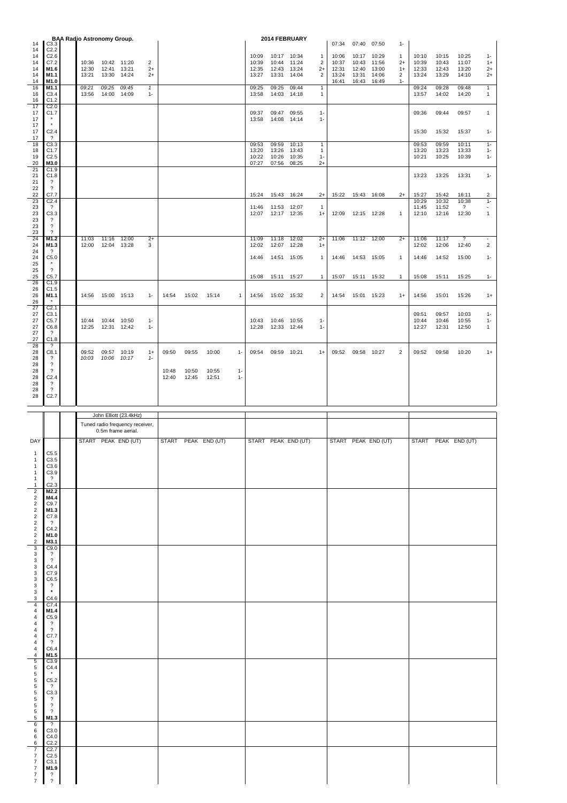| 14                                                                                                                                                                                                                                                                                                                                                                                      |                |                            | <b>BAA Radio Astronomy Group.</b><br>C3.3             |                      |       |       |                     |              |                |                            | 2014 FEBRUARY       |                                  | 07:34               | 07:40               | 07:50               | $1 -$                  |                         |                         |                                   |                               |
|-----------------------------------------------------------------------------------------------------------------------------------------------------------------------------------------------------------------------------------------------------------------------------------------------------------------------------------------------------------------------------------------|----------------|----------------------------|-------------------------------------------------------|----------------------|-------|-------|---------------------|--------------|----------------|----------------------------|---------------------|----------------------------------|---------------------|---------------------|---------------------|------------------------|-------------------------|-------------------------|-----------------------------------|-------------------------------|
| C <sub>2.2</sub><br>14<br>14<br>C <sub>2.6</sub><br>C7.2<br>14                                                                                                                                                                                                                                                                                                                          | 10:36          | 10:42 11:20                |                                                       | 2                    |       |       |                     |              | 10:09<br>10:39 | 10:17<br>10:44             | 10:34<br>11:24      | $\overline{1}$<br>$\overline{2}$ | 10:06<br>10:37      | 10:17<br>10:43      | 10:29<br>11:56      | $\mathbf{1}$<br>$2+$   | 10:10<br>10:39          | 10:15<br>10:43          | 10:25<br>11:07                    | $1 -$<br>$1+$                 |
| M1.6<br>14<br>14<br>M1.1                                                                                                                                                                                                                                                                                                                                                                | 12:30<br>13:21 | 12:41<br>13:30 14:24       | 13:21                                                 | $2+$<br>$2+$         |       |       |                     |              | 12:35<br>13:27 | 12:43<br>13:31             | 13:24<br>14:04      | $2+$<br>$\overline{2}$           | 12:31<br>13:24      | 12:40<br>13:31      | 13:00<br>14:06      | $1+$<br>$\overline{2}$ | 12:33<br>13:24          | 12:43<br>13:29          | 13:20<br>14:10                    | $2+$<br>$2+$                  |
| M1.0<br>14<br>16<br>M1.1<br>16<br>C3.4                                                                                                                                                                                                                                                                                                                                                  | 09:21<br>13:56 | 09:25<br>14:00 14:09       | 09:45                                                 | $\mathbf{1}$<br>$1-$ |       |       |                     |              | 09:25<br>13:58 | 09:25<br>14:03             | 09:44<br>14:18      | $\mathbf{1}$<br>$\mathbf{1}$     | 16:41               | 16:43               | 16:49               | $1 -$                  | 09:24<br>13:57          | 09:28<br>14:02          | 09:48<br>14:20                    | $\mathbf{1}$<br>$\mathbf{1}$  |
| 16<br>C <sub>1.2</sub><br>17<br>C <sub>2.0</sub><br>C <sub>1.7</sub><br>17<br>17                                                                                                                                                                                                                                                                                                        |                |                            |                                                       |                      |       |       |                     |              | 09:37<br>13:58 | 09:47<br>14:08 14:14       | 09:55               | $1 -$<br>$1 -$                   |                     |                     |                     |                        | 09:36                   | 09:44                   | 09:57                             | $\mathbf{1}$                  |
| 17<br>C <sub>2.4</sub><br>17<br>$\overline{\mathcal{L}}$<br>17                                                                                                                                                                                                                                                                                                                          |                |                            |                                                       |                      |       |       |                     |              |                |                            |                     |                                  |                     |                     |                     |                        | 15:30                   | 15:32                   | 15:37                             | $1-$                          |
| 18<br>C3.3<br>18<br>C <sub>1.7</sub>                                                                                                                                                                                                                                                                                                                                                    |                |                            |                                                       |                      |       |       |                     |              | 09:53<br>13:20 | 09:59<br>13:26             | 10:13<br>13:43      | $\mathbf{1}$<br>$\mathbf{1}$     |                     |                     |                     |                        | 09:53<br>13:20          | 09:59<br>13:23          | 10:11<br>13:33                    | $1-$<br>$1 -$                 |
| C <sub>2.5</sub><br>19<br>20<br>M3.0<br>21<br>C1.9<br>21<br>C1.8                                                                                                                                                                                                                                                                                                                        |                |                            |                                                       |                      |       |       |                     |              | 10:22<br>07:27 | 10:26<br>07:56             | 10:35<br>08:25      | $1 -$<br>$2+$                    |                     |                     |                     |                        | 10:21<br>13:23          | 10:25<br>13:25          | 10:39<br>13:31                    | $1-$<br>$1 -$                 |
| 21<br>$\cdot$ ?<br>22<br>$\overline{?}$                                                                                                                                                                                                                                                                                                                                                 |                |                            |                                                       |                      |       |       |                     |              |                |                            |                     |                                  |                     |                     |                     |                        |                         |                         |                                   |                               |
| 22<br>C7.7<br>23<br>C <sub>2.4</sub><br>23<br>$\overline{\mathcal{L}}$                                                                                                                                                                                                                                                                                                                  |                |                            |                                                       |                      |       |       |                     |              | 15:24<br>11:46 | 15:43 16:24<br>11:53 12:07 |                     | $2+$<br>$\mathbf{1}$             |                     | 15:22  15:43  16:08 |                     | $2+$                   | 15:27<br>10:29<br>11:45 | 15:42<br>10:32<br>11:52 | 16:11<br>10:38<br>$\gamma$        | $\overline{c}$<br>$1-$<br>٠   |
| 23<br>C3.3<br>23<br>$\cdot$ ?<br>23<br>$\overline{\mathcal{E}}$<br>$\overline{\phantom{0}}$                                                                                                                                                                                                                                                                                             |                |                            |                                                       |                      |       |       |                     |              | 12:07          | 12:17 12:35                |                     | $1+$                             | 12:09  12:15  12:28 |                     |                     | $\overline{1}$         | 12:10                   | 12:16                   | 12:30                             | $\mathbf{1}$                  |
| 23<br>24<br>M1.2<br>24<br>M1.3                                                                                                                                                                                                                                                                                                                                                          | 11:03<br>12:00 | 11:16 12:00<br>12:04 13:28 |                                                       | $2+$<br>3            |       |       |                     |              | 11:09<br>12:02 | 11:18<br>12:07             | 12:02<br>12:28      | $2+$<br>$1+$                     | 11:06               | 11:12 12:00         |                     | $2+$                   | 11:06<br>12:02          | 11:17<br>12:06          | $\overline{\mathcal{E}}$<br>12:40 | $\sim$<br>2                   |
| 24<br>$\gamma$<br>C5.0<br>24<br>25                                                                                                                                                                                                                                                                                                                                                      |                |                            |                                                       |                      |       |       |                     |              | 14:46          | 14:51 15:05                |                     | $\mathbf{1}$                     |                     | 14:46  14:53  15:05 |                     | $\overline{1}$         | 14:46                   | 14:52                   | 15:00                             | $1-$                          |
| 25<br>$\overline{\mathcal{E}}$<br>25<br>C5.7                                                                                                                                                                                                                                                                                                                                            |                |                            |                                                       |                      |       |       |                     |              | 15:08          | 15:11 15:27                |                     | $\mathbf{1}$                     | 15:07               | 15:11               | 15:32               | $\mathbf{1}$           | 15:08                   | 15:11                   | 15:25                             | $1 -$                         |
| 26<br>C1.9<br>26<br>C1.5<br>26<br>M1.1                                                                                                                                                                                                                                                                                                                                                  |                | 14:56  15:00  15:13        |                                                       | $1 -$                | 14:54 | 15:02 | 15:14               | $\mathbf{1}$ | 14:56          | 15:02 15:32                |                     | $\overline{2}$                   |                     | 14:54  15:01  15:23 |                     | $1+$                   | 14:56                   | 15:01                   | 15:26                             | $1+$                          |
| 26<br>27<br>C <sub>2.1</sub><br>27                                                                                                                                                                                                                                                                                                                                                      |                |                            |                                                       |                      |       |       |                     |              |                |                            |                     |                                  |                     |                     |                     |                        | 09:51                   | 09:57                   | 10:03                             |                               |
| C3.1<br>27<br>C5.7<br>27<br>C6.8<br>27<br>$\cdot$ ?                                                                                                                                                                                                                                                                                                                                     | 10:44<br>12:25 | 10:44 10:50<br>12:31 12:42 |                                                       | $1 -$<br>$1 -$       |       |       |                     |              | 10:43<br>12:28 | 10:46<br>12:33 12:44       | 10:55               | $1-$<br>$1 -$                    |                     |                     |                     |                        | 10:44<br>12:27          | 10:46<br>12:31          | 10:55<br>12:50                    | $1-$<br>$1 -$<br>$\mathbf{1}$ |
| 27<br>C1.8<br>28<br>$\cdot$<br>28<br>C8.1                                                                                                                                                                                                                                                                                                                                               | 09:52          | 09:57 10:19                |                                                       | $1+$                 | 09:50 | 09:55 | 10:00               | $1 -$        | 09:54          | 09:59 10:21                |                     | $1+$                             |                     | 09:52 09:58 10:27   |                     | $\overline{2}$         | 09:52                   | 09:58                   | 10:20                             | $1+$                          |
| 28<br>?<br>$\overline{\cdot}$<br>28<br>28<br>$\overline{?}$                                                                                                                                                                                                                                                                                                                             | 10:03          | 10:06 10:17                |                                                       | $1 -$                | 10:48 | 10:50 | 10:55               | $1 -$        |                |                            |                     |                                  |                     |                     |                     |                        |                         |                         |                                   |                               |
| 28<br>C <sub>2.4</sub><br>28<br>$\overline{\cdot}$                                                                                                                                                                                                                                                                                                                                      |                |                            |                                                       |                      | 12:40 | 12:45 | 12:51               | $1 -$        |                |                            |                     |                                  |                     |                     |                     |                        |                         |                         |                                   |                               |
| 28<br>$\overline{\mathcal{L}}$<br>28<br>C <sub>2.7</sub>                                                                                                                                                                                                                                                                                                                                |                |                            |                                                       |                      |       |       |                     |              |                |                            |                     |                                  |                     |                     |                     |                        |                         |                         |                                   |                               |
|                                                                                                                                                                                                                                                                                                                                                                                         |                |                            |                                                       |                      |       |       |                     |              |                |                            |                     |                                  |                     |                     |                     |                        |                         |                         |                                   |                               |
|                                                                                                                                                                                                                                                                                                                                                                                         |                |                            | John Elliott (23.4kHz)                                |                      |       |       |                     |              |                |                            |                     |                                  |                     |                     |                     |                        |                         |                         |                                   |                               |
|                                                                                                                                                                                                                                                                                                                                                                                         |                |                            | Tuned radio frequency receiver,<br>0.5m frame aerial. |                      |       |       |                     |              |                |                            |                     |                                  |                     |                     |                     |                        |                         |                         |                                   |                               |
|                                                                                                                                                                                                                                                                                                                                                                                         |                |                            | START PEAK END (UT)                                   |                      |       |       | START PEAK END (UT) |              |                |                            | START PEAK END (UT) |                                  |                     |                     | START PEAK END (UT) |                        |                         |                         | START PEAK END (UT)               |                               |
| DAY<br>C5.5<br>$\mathbf{1}$<br>C3.5<br>$\overline{1}$<br>C3.6<br>1<br>C3.9<br>$\mathbf{1}$                                                                                                                                                                                                                                                                                              |                |                            |                                                       |                      |       |       |                     |              |                |                            |                     |                                  |                     |                     |                     |                        |                         |                         |                                   |                               |
| $\overline{\mathcal{L}}$<br>$\mathbf{1}$<br>$\mathbf{1}$<br>C2.3<br>M2.2                                                                                                                                                                                                                                                                                                                |                |                            |                                                       |                      |       |       |                     |              |                |                            |                     |                                  |                     |                     |                     |                        |                         |                         |                                   |                               |
| M4.4<br>C9.7                                                                                                                                                                                                                                                                                                                                                                            |                |                            |                                                       |                      |       |       |                     |              |                |                            |                     |                                  |                     |                     |                     |                        |                         |                         |                                   |                               |
| M1.3<br>C7.8<br>$\overline{?}$                                                                                                                                                                                                                                                                                                                                                          |                |                            |                                                       |                      |       |       |                     |              |                |                            |                     |                                  |                     |                     |                     |                        |                         |                         |                                   |                               |
| C4.2<br>M1.0                                                                                                                                                                                                                                                                                                                                                                            |                |                            |                                                       |                      |       |       |                     |              |                |                            |                     |                                  |                     |                     |                     |                        |                         |                         |                                   |                               |
| $2222222$<br>M3.1<br>C9.0<br>$\overline{\mathcal{L}}$                                                                                                                                                                                                                                                                                                                                   |                |                            |                                                       |                      |       |       |                     |              |                |                            |                     |                                  |                     |                     |                     |                        |                         |                         |                                   |                               |
| $\overline{\mathbf{?}}$<br>C4.4                                                                                                                                                                                                                                                                                                                                                         |                |                            |                                                       |                      |       |       |                     |              |                |                            |                     |                                  |                     |                     |                     |                        |                         |                         |                                   |                               |
| C7.9<br>C6.5                                                                                                                                                                                                                                                                                                                                                                            |                |                            |                                                       |                      |       |       |                     |              |                |                            |                     |                                  |                     |                     |                     |                        |                         |                         |                                   |                               |
| $\overline{\mathcal{L}}$<br>$\pmb{\star}$<br>C4.6                                                                                                                                                                                                                                                                                                                                       |                |                            |                                                       |                      |       |       |                     |              |                |                            |                     |                                  |                     |                     |                     |                        |                         |                         |                                   |                               |
| $\frac{3}{3}$<br>$\begin{array}{c} 3 \\ 3 \\ 3 \\ 3 \end{array}$<br>$\ensuremath{\mathsf{3}}$<br>$\overline{4}$<br>C7.4<br>M1.4                                                                                                                                                                                                                                                         |                |                            |                                                       |                      |       |       |                     |              |                |                            |                     |                                  |                     |                     |                     |                        |                         |                         |                                   |                               |
| C5.9<br>$\overline{\mathbf{?}}$                                                                                                                                                                                                                                                                                                                                                         |                |                            |                                                       |                      |       |       |                     |              |                |                            |                     |                                  |                     |                     |                     |                        |                         |                         |                                   |                               |
| $\overline{\mathcal{L}}$<br>C7.7                                                                                                                                                                                                                                                                                                                                                        |                |                            |                                                       |                      |       |       |                     |              |                |                            |                     |                                  |                     |                     |                     |                        |                         |                         |                                   |                               |
| $\overline{\mathcal{L}}$<br>C6.4<br>M1.5                                                                                                                                                                                                                                                                                                                                                |                |                            |                                                       |                      |       |       |                     |              |                |                            |                     |                                  |                     |                     |                     |                        |                         |                         |                                   |                               |
| C3.9<br>C4.4                                                                                                                                                                                                                                                                                                                                                                            |                |                            |                                                       |                      |       |       |                     |              |                |                            |                     |                                  |                     |                     |                     |                        |                         |                         |                                   |                               |
| $\star$<br>C5.2                                                                                                                                                                                                                                                                                                                                                                         |                |                            |                                                       |                      |       |       |                     |              |                |                            |                     |                                  |                     |                     |                     |                        |                         |                         |                                   |                               |
| $\overline{\mathcal{L}}$<br>C3.3                                                                                                                                                                                                                                                                                                                                                        |                |                            |                                                       |                      |       |       |                     |              |                |                            |                     |                                  |                     |                     |                     |                        |                         |                         |                                   |                               |
| $\overline{\mathbf{?}}$<br>$\overline{\mathbf{?}}$                                                                                                                                                                                                                                                                                                                                      |                |                            |                                                       |                      |       |       |                     |              |                |                            |                     |                                  |                     |                     |                     |                        |                         |                         |                                   |                               |
| $\overline{?}$<br>M1.3<br>$\overline{\mathcal{L}}$                                                                                                                                                                                                                                                                                                                                      |                |                            |                                                       |                      |       |       |                     |              |                |                            |                     |                                  |                     |                     |                     |                        |                         |                         |                                   |                               |
| C3.0<br>C4.0                                                                                                                                                                                                                                                                                                                                                                            |                |                            |                                                       |                      |       |       |                     |              |                |                            |                     |                                  |                     |                     |                     |                        |                         |                         |                                   |                               |
| C2.2<br>C <sub>2.7</sub>                                                                                                                                                                                                                                                                                                                                                                |                |                            |                                                       |                      |       |       |                     |              |                |                            |                     |                                  |                     |                     |                     |                        |                         |                         |                                   |                               |
| $\begin{array}{c} 4 \\ 4 \end{array}$<br>$\sqrt{4}$<br>$\sqrt{4}$<br>$\sqrt{4}$<br>$\overline{\mathbf{r}}$<br>$\ensuremath{\mathsf{4}}$<br>$\sqrt{4}$<br>55555555555555<br>$6\phantom{a}$<br>$\begin{array}{c} 6 \\ 6 \\ 6 \end{array}$<br>7<br>$\boldsymbol{7}$<br>C <sub>2.5</sub><br>$\boldsymbol{7}$<br>C3.1<br>$\begin{array}{c} 7 \\ 7 \\ 7 \end{array}$<br>M1.9<br>$\frac{7}{2}$ |                |                            |                                                       |                      |       |       |                     |              |                |                            |                     |                                  |                     |                     |                     |                        |                         |                         |                                   |                               |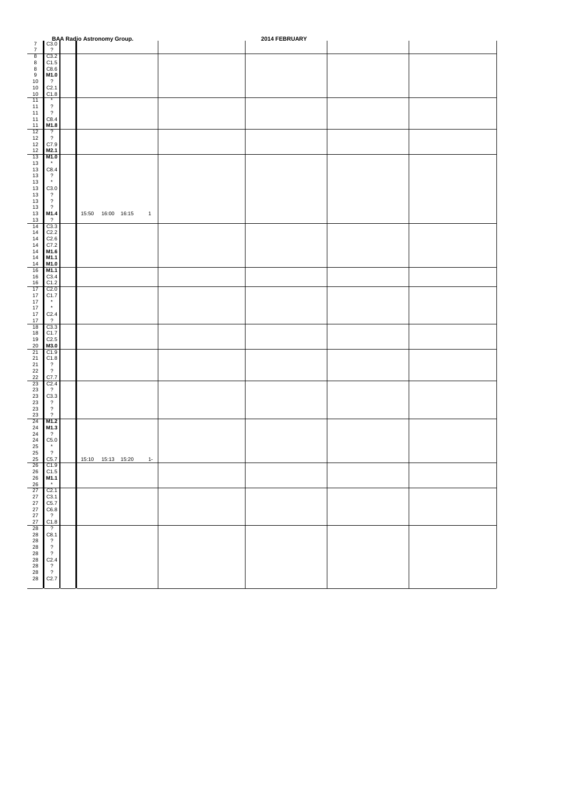|                                         |                                                      | <b>BAA Radio Astronomy Group.</b><br>C3.0 | 2014 FEBRUARY |  |
|-----------------------------------------|------------------------------------------------------|-------------------------------------------|---------------|--|
| $\overline{7}$<br>$\overline{7}$        | $\overline{\mathcal{L}}$                             |                                           |               |  |
| $\overline{8}$<br>$\bf8$                | C3.2<br>C1.5                                         |                                           |               |  |
| $\bf8$                                  | C8.6                                                 |                                           |               |  |
| 9<br>10                                 | M1.0<br>$\overline{?}$                               |                                           |               |  |
| 10                                      | C <sub>2.1</sub>                                     |                                           |               |  |
| 10<br>11                                | C1.8<br>$^\star$                                     |                                           |               |  |
| 11                                      | $\overline{\mathbf{?}}$<br>$\overline{\mathcal{L}}$  |                                           |               |  |
| 11<br>11                                | C8.4                                                 |                                           |               |  |
| 11<br>12                                | M1.8<br>$\overline{\mathcal{L}}$                     |                                           |               |  |
| 12                                      | $\overline{\mathcal{L}}$                             |                                           |               |  |
| 12<br>12                                | C7.9<br>M2.1                                         |                                           |               |  |
| 13                                      | M1.0                                                 |                                           |               |  |
| 13<br>13                                | $^\star$<br>C8.4                                     |                                           |               |  |
| 13                                      | $\overline{\mathcal{L}}$                             |                                           |               |  |
| 13<br>13                                | $^\star$<br>C3.0                                     |                                           |               |  |
| 13                                      | $\overline{\mathcal{L}}$                             |                                           |               |  |
| 13<br>13                                | $\overline{\mathcal{L}}$<br>$\overline{\mathcal{L}}$ |                                           |               |  |
| 13                                      | M1.4                                                 | 15:50  16:00  16:15<br>$\mathbf{1}$       |               |  |
| 13<br>14                                | $\overline{\mathcal{L}}$<br>C3.3                     |                                           |               |  |
| 14<br>14                                | C <sub>2.2</sub><br>C2.6                             |                                           |               |  |
| 14                                      | C7.2                                                 |                                           |               |  |
| 14<br>14                                | M1.6<br>M1.1                                         |                                           |               |  |
| 14                                      | M1.0                                                 |                                           |               |  |
| 16<br>16                                | M1.1<br>C3.4                                         |                                           |               |  |
| 16                                      | C1.2                                                 |                                           |               |  |
| 17<br>17                                | C <sub>2.0</sub><br>C <sub>1.7</sub>                 |                                           |               |  |
| 17                                      | $\star$                                              |                                           |               |  |
| 17<br>$17\,$                            | $^\star$<br>C2.4                                     |                                           |               |  |
| 17                                      | $\overline{?}$                                       |                                           |               |  |
| 18<br>18                                | C3.3<br>C1.7                                         |                                           |               |  |
| 19                                      | C2.5                                                 |                                           |               |  |
| $20\,$<br>21                            | M3.0<br>C1.9                                         |                                           |               |  |
| $\begin{array}{c} 21 \\ 21 \end{array}$ | C1.8                                                 |                                           |               |  |
| 22                                      | $\overline{\mathbf{?}}$<br>$\overline{\mathcal{L}}$  |                                           |               |  |
| $\frac{22}{23}$                         | C7.7                                                 |                                           |               |  |
| 23                                      | C <sub>2.4</sub><br>$\overline{?}$                   |                                           |               |  |
| 23<br>23                                | C3.3<br>$\overline{\mathcal{E}}$                     |                                           |               |  |
| 23                                      | $\overline{\mathcal{L}}$                             |                                           |               |  |
| 23<br>24                                | $\overline{\mathcal{L}}$<br>M1.2                     |                                           |               |  |
| $24\,$                                  | M1.3                                                 |                                           |               |  |
| 24                                      | $\overline{\mathcal{L}}$<br>C5.0                     |                                           |               |  |
| $\frac{24}{25}$                         | $^\star$                                             |                                           |               |  |
| 25<br>25                                | $\overline{\mathcal{L}}$<br>C5.7                     | 15:10  15:13  15:20  1-                   |               |  |
| 26                                      | C1.9                                                 |                                           |               |  |
| $\frac{26}{26}$                         | C1.5<br>M1.1                                         |                                           |               |  |
| 26<br>27                                | $^\star$<br>C <sub>2.1</sub>                         |                                           |               |  |
| $27\,$                                  | C3.1                                                 |                                           |               |  |
| $\begin{array}{c} 27 \\ 27 \end{array}$ | C5.7<br>C6.8                                         |                                           |               |  |
| $27\,$                                  | $\overline{\mathbf{?}}$                              |                                           |               |  |
| 27<br>28                                | C1.8<br>$\overline{\mathcal{E}}$                     |                                           |               |  |
| ${\bf 28}$                              | C8.1                                                 |                                           |               |  |
| 28<br>28                                | $\overline{\mathbf{?}}$<br>$\overline{\mathcal{L}}$  |                                           |               |  |
| $\overline{28}$                         | $\overline{\mathcal{L}}$                             |                                           |               |  |
| 28                                      | C2.4                                                 |                                           |               |  |
| $\begin{array}{c} 28 \\ 28 \end{array}$ | $\frac{7}{2}$                                        |                                           |               |  |
| ${\bf 28}$                              | C2.7                                                 |                                           |               |  |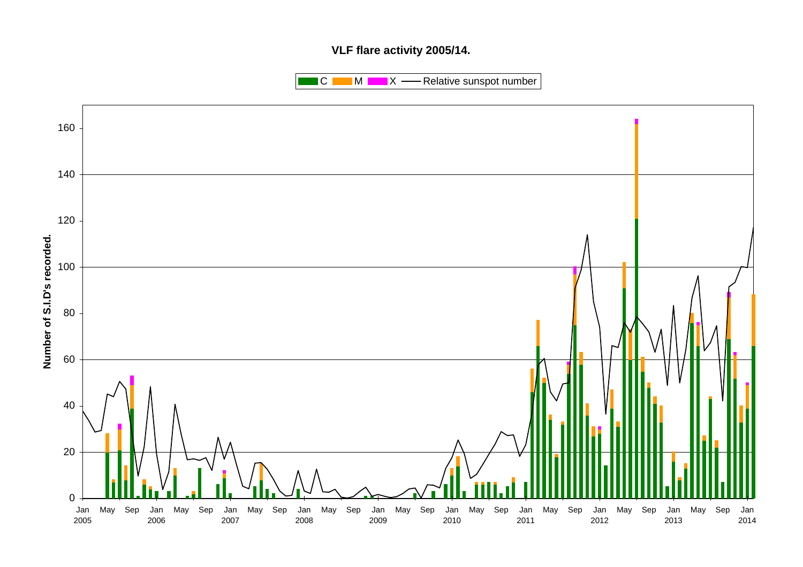# **VLF flare activity 2005/14.**

 $\blacksquare$  C  $\blacksquare$  M  $\blacksquare$   $\blacksquare$  X  $\blacksquare$  Relative sunspot number

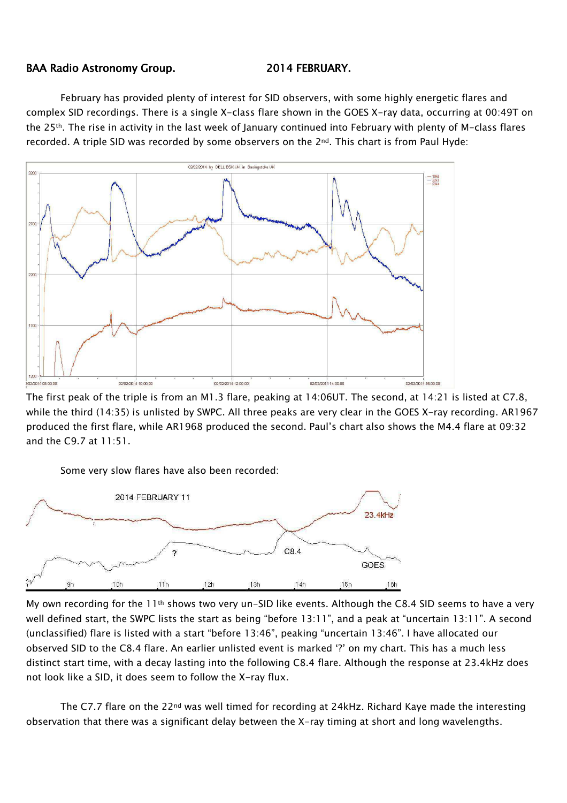### BAA Radio Astronomy Group. 2014 FEBRUARY.

February has provided plenty of interest for SID observers, with some highly energetic flares and complex SID recordings. There is a single X-class flare shown in the GOES X-ray data, occurring at 00:49T on the 25th. The rise in activity in the last week of January continued into February with plenty of M-class flares recorded. A triple SID was recorded by some observers on the 2nd. This chart is from Paul Hyde:



The first peak of the triple is from an M1.3 flare, peaking at 14:06UT. The second, at 14:21 is listed at C7.8, while the third (14:35) is unlisted by SWPC. All three peaks are very clear in the GOES X-ray recording. AR1967 produced the first flare, while AR1968 produced the second. Paul's chart also shows the M4.4 flare at 09:32 and the C9.7 at 11:51.



My own recording for the 11th shows two very un-SID like events. Although the C8.4 SID seems to have a very well defined start, the SWPC lists the start as being "before 13:11", and a peak at "uncertain 13:11". A second (unclassified) flare is listed with a start "before 13:46", peaking "uncertain 13:46". I have allocated our observed SID to the C8.4 flare. An earlier unlisted event is marked '?' on my chart. This has a much less distinct start time, with a decay lasting into the following C8.4 flare. Although the response at 23.4kHz does not look like a SID, it does seem to follow the X-ray flux.

The C7.7 flare on the 22<sup>nd</sup> was well timed for recording at 24kHz. Richard Kaye made the interesting observation that there was a significant delay between the X-ray timing at short and long wavelengths.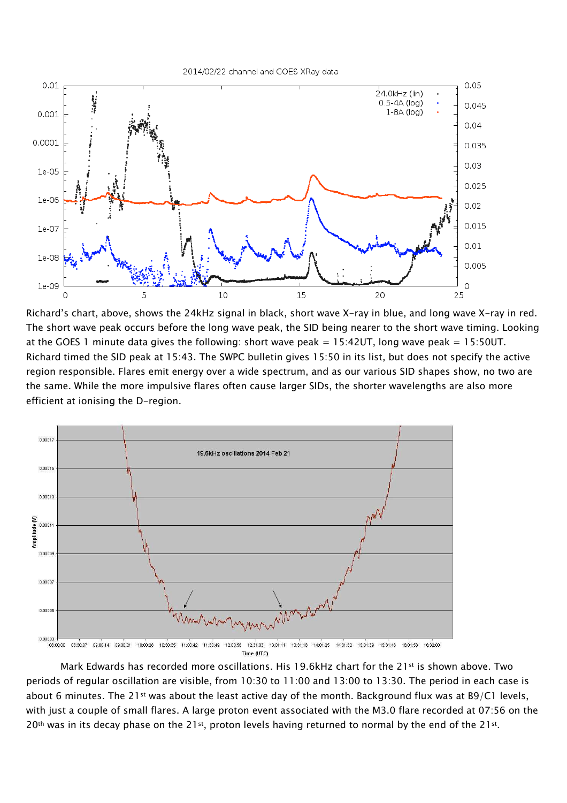2014/02/22 channel and GOES XRay data



Richard's chart, above, shows the 24kHz signal in black, short wave X-ray in blue, and long wave X-ray in red. The short wave peak occurs before the long wave peak, the SID being nearer to the short wave timing. Looking at the GOES 1 minute data gives the following: short wave peak =  $15:42UT$ , long wave peak =  $15:50UT$ . Richard timed the SID peak at 15:43. The SWPC bulletin gives 15:50 in its list, but does not specify the active region responsible. Flares emit energy over a wide spectrum, and as our various SID shapes show, no two are the same. While the more impulsive flares often cause larger SIDs, the shorter wavelengths are also more efficient at ionising the D-region.



Time (UTC)

Mark Edwards has recorded more oscillations. His 19.6kHz chart for the 21<sup>st</sup> is shown above. Two periods of regular oscillation are visible, from 10:30 to 11:00 and 13:00 to 13:30. The period in each case is about 6 minutes. The 21<sup>st</sup> was about the least active day of the month. Background flux was at B9/C1 levels, with just a couple of small flares. A large proton event associated with the M3.0 flare recorded at 07:56 on the 20<sup>th</sup> was in its decay phase on the 21st, proton levels having returned to normal by the end of the 21st.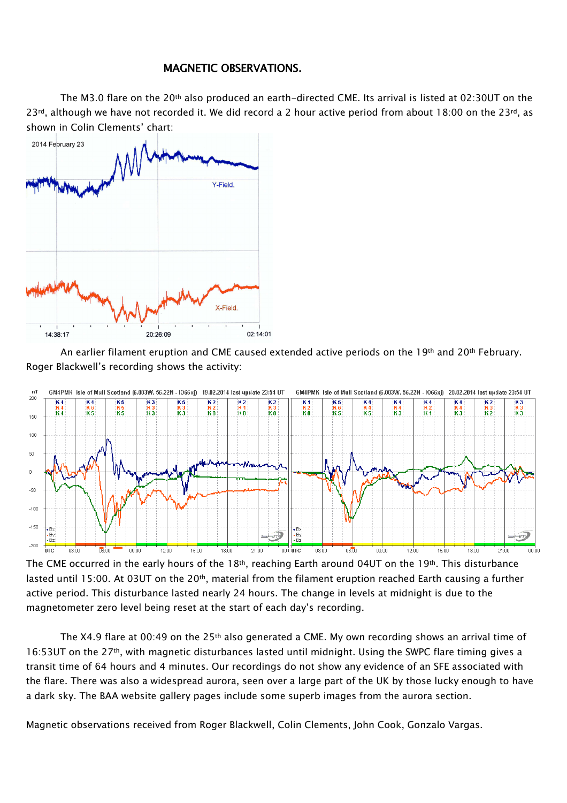## MAGNETIC OBSERVATIONS.

The M3.0 flare on the 20<sup>th</sup> also produced an earth-directed CME. Its arrival is listed at 02:30UT on the  $23$ <sup>rd</sup>, although we have not recorded it. We did record a 2 hour active period from about 18:00 on the 23<sup>rd</sup>, as shown in Colin Clements' chart:



An earlier filament eruption and CME caused extended active periods on the 19<sup>th</sup> and 20<sup>th</sup> February. Roger Blackwell's recording shows the activity:



The CME occurred in the early hours of the  $18th$ , reaching Earth around 04UT on the  $19th$ . This disturbance lasted until 15:00. At 03UT on the 20<sup>th</sup>, material from the filament eruption reached Earth causing a further active period. This disturbance lasted nearly 24 hours. The change in levels at midnight is due to the magnetometer zero level being reset at the start of each day's recording.

The X4.9 flare at 00:49 on the 25<sup>th</sup> also generated a CME. My own recording shows an arrival time of 16:53UT on the 27th, with magnetic disturbances lasted until midnight. Using the SWPC flare timing gives a transit time of 64 hours and 4 minutes. Our recordings do not show any evidence of an SFE associated with the flare. There was also a widespread aurora, seen over a large part of the UK by those lucky enough to have a dark sky. The BAA website gallery pages include some superb images from the aurora section.

Magnetic observations received from Roger Blackwell, Colin Clements, John Cook, Gonzalo Vargas.